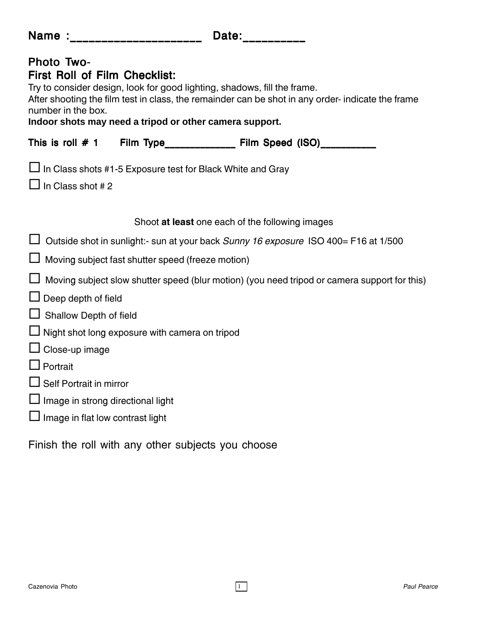| Name : ___________________                                                      |                                                   | Date:                                                                                                                                                                                                                                    |
|---------------------------------------------------------------------------------|---------------------------------------------------|------------------------------------------------------------------------------------------------------------------------------------------------------------------------------------------------------------------------------------------|
| <b>Photo Two-</b><br><b>First Roll of Film Checklist:</b><br>number in the box. |                                                   | Try to consider design, look for good lighting, shadows, fill the frame.<br>After shooting the film test in class, the remainder can be shot in any order- indicate the frame<br>Indoor shots may need a tripod or other camera support. |
| This is roll $# 1$                                                              |                                                   | Film Type_____________ Film Speed (ISO)_________                                                                                                                                                                                         |
| In Class shot #2                                                                |                                                   | In Class shots #1-5 Exposure test for Black White and Gray                                                                                                                                                                               |
|                                                                                 |                                                   | Shoot at least one each of the following images                                                                                                                                                                                          |
|                                                                                 |                                                   | Outside shot in sunlight:- sun at your back Sunny 16 exposure ISO 400= F16 at 1/500                                                                                                                                                      |
|                                                                                 | Moving subject fast shutter speed (freeze motion) |                                                                                                                                                                                                                                          |
|                                                                                 |                                                   | Moving subject slow shutter speed (blur motion) (you need tripod or camera support for this)                                                                                                                                             |
| Deep depth of field                                                             |                                                   |                                                                                                                                                                                                                                          |
| Shallow Depth of field                                                          |                                                   |                                                                                                                                                                                                                                          |
|                                                                                 | Night shot long exposure with camera on tripod    |                                                                                                                                                                                                                                          |
| Close-up image                                                                  |                                                   |                                                                                                                                                                                                                                          |
| Portrait                                                                        |                                                   |                                                                                                                                                                                                                                          |

- $\Box$  Self Portrait in mirror
- $\Box$  Image in strong directional light
- $\square$  Image in flat low contrast light

Finish the roll with any other subjects you choose